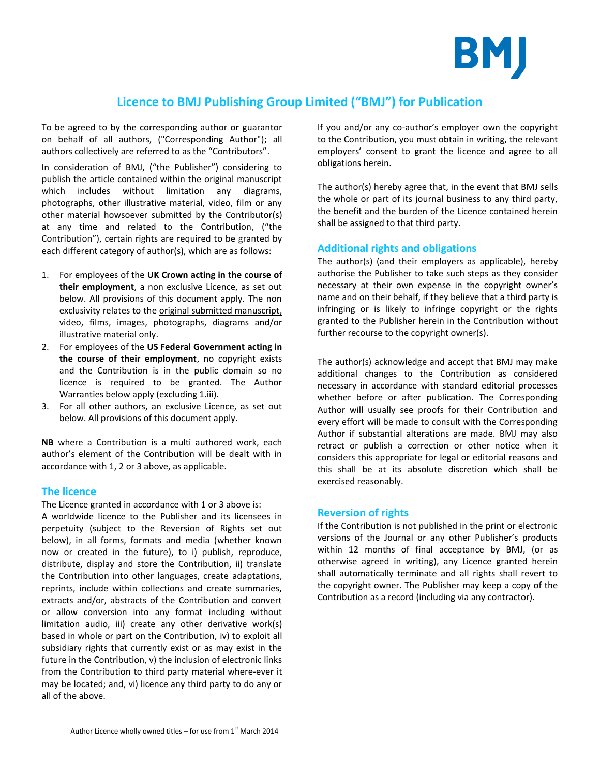

# **Licence to BMJ Publishing Group Limited ("BMJ") for Publication**

To be agreed to by the corresponding author or guarantor on behalf of all authors, ("Corresponding Author"); all authors collectively are referred to as the "Contributors".

In consideration of BMJ, ("the Publisher") considering to publish the article contained within the original manuscript which includes without limitation any diagrams, photographs, other illustrative material, video, film or any other material howsoever submitted by the Contributor(s) at any time and related to the Contribution, ("the Contribution"), certain rights are required to be granted by each different category of author(s), which are as follows:

- 1. For employees of the **UK Crown acting in the course of their employment**, a non exclusive Licence, as set out below. All provisions of this document apply. The non exclusivity relates to the original submitted manuscript, video, films, images, photographs, diagrams and/or illustrative material only.
- 2. For employees of the **US Federal Government acting in the course of their employment**, no copyright exists and the Contribution is in the public domain so no licence is required to be granted. The Author Warranties below apply (excluding 1.iii).
- 3. For all other authors, an exclusive Licence, as set out below. All provisions of this document apply.

**NB** where a Contribution is a multi authored work, each author's element of the Contribution will be dealt with in accordance with 1, 2 or 3 above, as applicable.

# **The licence**

The Licence granted in accordance with 1 or 3 above is: A worldwide licence to the Publisher and its licensees in perpetuity (subject to the Reversion of Rights set out below), in all forms, formats and media (whether known now or created in the future), to i) publish, reproduce, distribute, display and store the Contribution, ii) translate the Contribution into other languages, create adaptations, reprints, include within collections and create summaries, extracts and/or, abstracts of the Contribution and convert or allow conversion into any format including without limitation audio, iii) create any other derivative work(s) based in whole or part on the Contribution, iv) to exploit all subsidiary rights that currently exist or as may exist in the future in the Contribution, v) the inclusion of electronic links from the Contribution to third party material where-ever it may be located; and, vi) licence any third party to do any or all of the above.

If you and/or any co-author's employer own the copyright to the Contribution, you must obtain in writing, the relevant employers' consent to grant the licence and agree to all obligations herein.

The author(s) hereby agree that, in the event that BMJ sells the whole or part of its journal business to any third party, the benefit and the burden of the Licence contained herein shall be assigned to that third party.

# **Additional rights and obligations**

The author(s) (and their employers as applicable), hereby authorise the Publisher to take such steps as they consider necessary at their own expense in the copyright owner's name and on their behalf, if they believe that a third party is infringing or is likely to infringe copyright or the rights granted to the Publisher herein in the Contribution without further recourse to the copyright owner(s).

The author(s) acknowledge and accept that BMJ may make additional changes to the Contribution as considered necessary in accordance with standard editorial processes whether before or after publication. The Corresponding Author will usually see proofs for their Contribution and every effort will be made to consult with the Corresponding Author if substantial alterations are made. BMJ may also retract or publish a correction or other notice when it considers this appropriate for legal or editorial reasons and this shall be at its absolute discretion which shall be exercised reasonably.

# **Reversion of rights**

If the Contribution is not published in the print or electronic versions of the Journal or any other Publisher's products within 12 months of final acceptance by BMJ, (or as otherwise agreed in writing), any Licence granted herein shall automatically terminate and all rights shall revert to the copyright owner. The Publisher may keep a copy of the Contribution as a record (including via any contractor).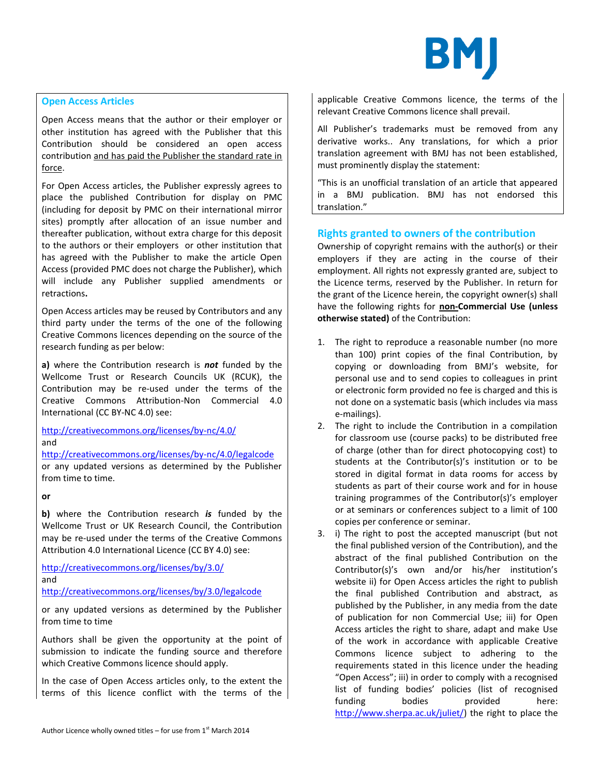

### **Open Access Articles**

Open Access means that the author or their employer or other institution has agreed with the Publisher that this Contribution should be considered an open access contribution and has paid the Publisher the standard rate in force.

For Open Access articles, the Publisher expressly agrees to place the published Contribution for display on PMC (including for deposit by PMC on their international mirror sites) promptly after allocation of an issue number and thereafter publication, without extra charge for this deposit to the authors or their employers or other institution that has agreed with the Publisher to make the article Open Access (provided PMC does not charge the Publisher), which will include any Publisher supplied amendments or retractions**.**

Open Access articles may be reused by Contributors and any third party under the terms of the one of the following Creative Commons licences depending on the source of the research funding as per below:

**a)** where the Contribution research is *not* funded by the Wellcome Trust or Research Councils UK (RCUK), the Contribution may be re-used under the terms of the Creative Commons Attribution-Non Commercial 4.0 International (CC BY-NC 4.0) see:

<http://creativecommons.org/licenses/by-nc/4.0/> and

<http://creativecommons.org/licenses/by-nc/4.0/legalcode> or any updated versions as determined by the Publisher from time to time.

**or**

**b)** where the Contribution research *is* funded by the Wellcome Trust or UK Research Council, the Contribution may be re-used under the terms of the Creative Commons Attribution 4.0 International Licence (CC BY 4.0) see:

<http://creativecommons.org/licenses/by/3.0/> and

<http://creativecommons.org/licenses/by/3.0/legalcode>

or any updated versions as determined by the Publisher from time to time

Authors shall be given the opportunity at the point of submission to indicate the funding source and therefore which Creative Commons licence should apply.

In the case of Open Access articles only, to the extent the terms of this licence conflict with the terms of the applicable Creative Commons licence, the terms of the relevant Creative Commons licence shall prevail.

All Publisher's trademarks must be removed from any derivative works.. Any translations, for which a prior translation agreement with BMJ has not been established, must prominently display the statement:

"This is an unofficial translation of an article that appeared in a BMJ publication. BMJ has not endorsed this translation."

# **Rights granted to owners of the contribution**

Ownership of copyright remains with the author(s) or their employers if they are acting in the course of their employment. All rights not expressly granted are, subject to the Licence terms, reserved by the Publisher. In return for the grant of the Licence herein, the copyright owner(s) shall have the following rights for **non-Commercial Use (unless otherwise stated)** of the Contribution:

- 1. The right to reproduce a reasonable number (no more than 100) print copies of the final Contribution, by copying or downloading from BMJ's website, for personal use and to send copies to colleagues in print or electronic form provided no fee is charged and this is not done on a systematic basis (which includes via mass e-mailings).
- 2. The right to include the Contribution in a compilation for classroom use (course packs) to be distributed free of charge (other than for direct photocopying cost) to students at the Contributor(s)'s institution or to be stored in digital format in data rooms for access by students as part of their course work and for in house training programmes of the Contributor(s)'s employer or at seminars or conferences subject to a limit of 100 copies per conference or seminar.
- 3. i) The right to post the accepted manuscript (but not the final published version of the Contribution), and the abstract of the final published Contribution on the Contributor(s)'s own and/or his/her institution's website ii) for Open Access articles the right to publish the final published Contribution and abstract, as published by the Publisher, in any media from the date of publication for non Commercial Use; iii) for Open Access articles the right to share, adapt and make Use of the work in accordance with applicable Creative Commons licence subject to adhering to the requirements stated in this licence under the heading "Open Access"; iii) in order to comply with a recognised list of funding bodies' policies (list of recognised funding bodies provided here: [http://www.sherpa.ac.uk/juliet/\)](http://www.sherpa.ac.uk/juliet/) the right to place the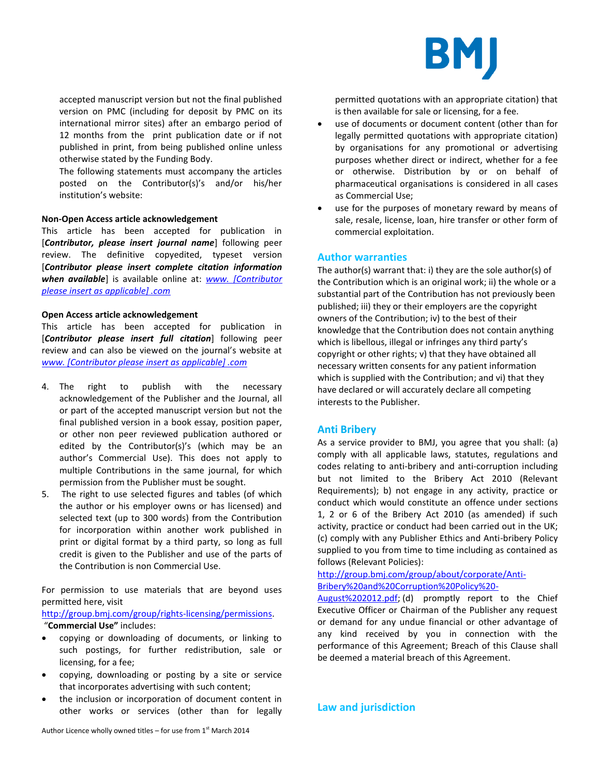

accepted manuscript version but not the final published version on PMC (including for deposit by PMC on its international mirror sites) after an embargo period of 12 months from the print publication date or if not published in print, from being published online unless otherwise stated by the Funding Body.

The following statements must accompany the articles posted on the Contributor(s)'s and/or his/her institution's website:

#### **Non-Open Access article acknowledgement**

This article has been accepted for publication in [*Contributor, please insert journal name*] following peer review. The definitive copyedited, typeset version [*Contributor please insert complete citation information when available*] is available online at: *[www. \[Contributor](http://www.archdischild.com/)  [please insert as applicable\] .com](http://www.archdischild.com/)*

#### **Open Access article acknowledgement**

This article has been accepted for publication in [*Contributor please insert full citation*] following peer review and can also be viewed on the journal's website at *www. [Contributor please insert as applicable] .com*

- 4. The right to publish with the necessary acknowledgement of the Publisher and the Journal, all or part of the accepted manuscript version but not the final published version in a book essay, position paper, or other non peer reviewed publication authored or edited by the Contributor(s)'s (which may be an author's Commercial Use). This does not apply to multiple Contributions in the same journal, for which permission from the Publisher must be sought.
- 5. The right to use selected figures and tables (of which the author or his employer owns or has licensed) and selected text (up to 300 words) from the Contribution for incorporation within another work published in print or digital format by a third party, so long as full credit is given to the Publisher and use of the parts of the Contribution is non Commercial Use.

For permission to use materials that are beyond uses permitted here, visit

[http://group.bmj.com/group/rights-licensing/permissions.](http://group.bmj.com/group/rights-licensing/permissions) "**Commercial Use"** includes:

- copying or downloading of documents, or linking to such postings, for further redistribution, sale or licensing, for a fee;
- copying, downloading or posting by a site or service that incorporates advertising with such content;
- the inclusion or incorporation of document content in other works or services (other than for legally

permitted quotations with an appropriate citation) that is then available for sale or licensing, for a fee.

- use of documents or document content (other than for legally permitted quotations with appropriate citation) by organisations for any promotional or advertising purposes whether direct or indirect, whether for a fee or otherwise. Distribution by or on behalf of pharmaceutical organisations is considered in all cases as Commercial Use;
- use for the purposes of monetary reward by means of sale, resale, license, loan, hire transfer or other form of commercial exploitation.

#### **Author warranties**

The author(s) warrant that: i) they are the sole author(s) of the Contribution which is an original work; ii) the whole or a substantial part of the Contribution has not previously been published; iii) they or their employers are the copyright owners of the Contribution; iv) to the best of their knowledge that the Contribution does not contain anything which is libellous, illegal or infringes any third party's copyright or other rights; v) that they have obtained all necessary written consents for any patient information which is supplied with the Contribution; and vi) that they have declared or will accurately declare all competing interests to the Publisher.

#### **Anti Bribery**

As a service provider to BMJ, you agree that you shall: (a) comply with all applicable laws, statutes, regulations and codes relating to anti-bribery and anti-corruption including but not limited to the Bribery Act 2010 (Relevant Requirements); b) not engage in any activity, practice or conduct which would constitute an offence under sections 1, 2 or 6 of the Bribery Act 2010 (as amended) if such activity, practice or conduct had been carried out in the UK; (c) comply with any Publisher Ethics and Anti-bribery Policy supplied to you from time to time including as contained as follows (Relevant Policies):

[http://group.bmj.com/group/about/corporate/Anti-](http://group.bmj.com/group/about/corporate/Anti-Bribery%20and%20Corruption%20Policy%20-August%202012.pdf)[Bribery%20and%20Corruption%20Policy%20-](http://group.bmj.com/group/about/corporate/Anti-Bribery%20and%20Corruption%20Policy%20-August%202012.pdf)

[August%202012.pdf;](http://group.bmj.com/group/about/corporate/Anti-Bribery%20and%20Corruption%20Policy%20-August%202012.pdf) (d) promptly report to the Chief Executive Officer or Chairman of the Publisher any request or demand for any undue financial or other advantage of any kind received by you in connection with the performance of this Agreement; Breach of this Clause shall be deemed a material breach of this Agreement.

# **Law and jurisdiction**